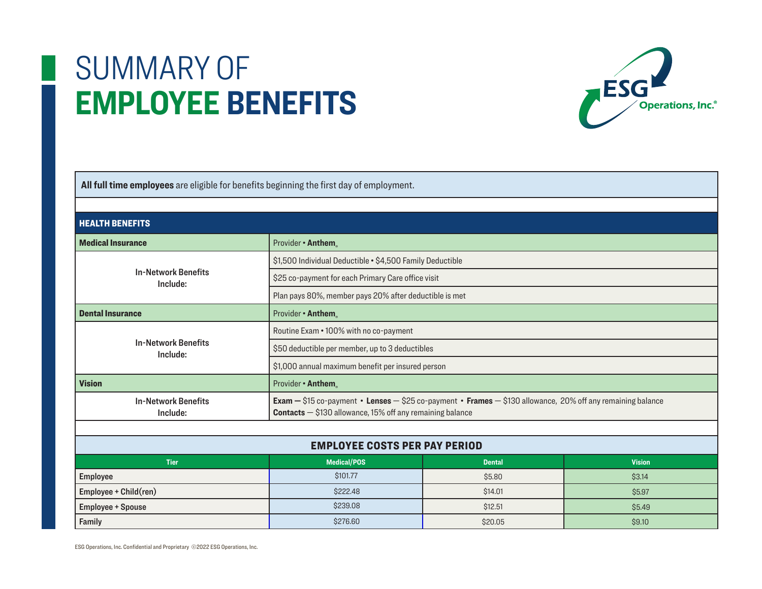

 **All full time employees** are eligible for benefits beginning the first day of employment. HEALTH BENEFITSMedical InsuranceProvider • **Anthem**<sub>®</sub> In-Network BenefitsInclude:\$1,500 Individual Deductible • \$4,500 Family Deductible \$25 co-payment for each Primary Care office visit Plan pays 80%, member pays 20% after deductible is met Dental InsuranceProvider • **Anthem** In-Network BenefitsInclude:Routine Exam • 100% with no co-payment \$50 deductible per member, up to 3 deductibles \$1,000 annual maximum benefit per insured person VisionProvider • **Anthem** In-Network BenefitsInclude: **Exam —** \$15 co-payment • **Lenses** — \$25 co-payment • **Frames** — \$130 allowance, 20% off any remaining balance **Contacts** — \$130 allowance, 15% off any remaining balance EMPLOYEE COSTS PER PAY PERIOD**Tier Medical/POS Dental Vision** Employee \$101.77 \$5.80 \$3.<sup>14</sup>Employee + Child(ren)  $$222.48$  \$14.01 \$5.<sup>97</sup>Employee + Spouse \$12.51 \$5.49 \$239.08

0  $$20.05$   $$9.10$ 

ESG Operations, Inc. Confidential and Proprietary ©2022 ESG Operations, Inc.

Family the contract of  $\sim$  100  $\pm$  100  $\pm$  100  $\pm$  100  $\pm$  276.60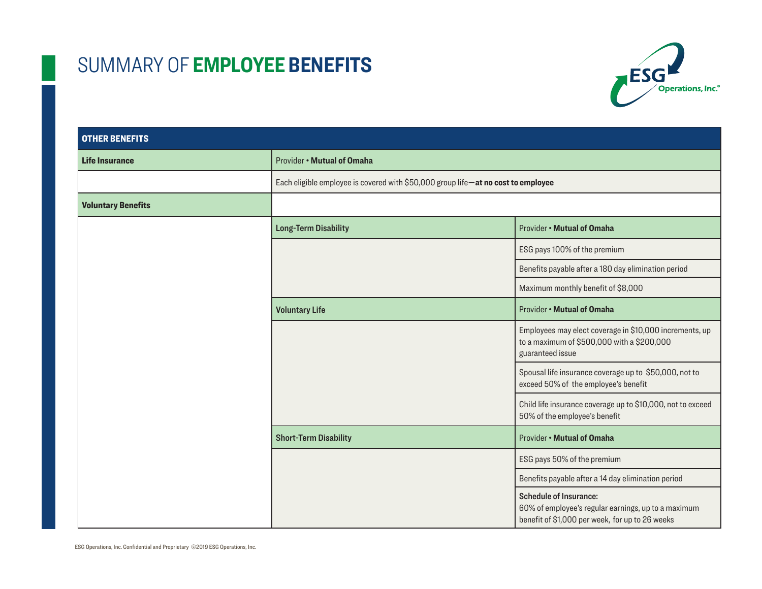

| <b>OTHER BENEFITS</b>     |                                                                                   |                                                                                                                                         |  |
|---------------------------|-----------------------------------------------------------------------------------|-----------------------------------------------------------------------------------------------------------------------------------------|--|
| <b>Life Insurance</b>     | Provider . Mutual of Omaha                                                        |                                                                                                                                         |  |
|                           | Each eligible employee is covered with \$50,000 group life-at no cost to employee |                                                                                                                                         |  |
| <b>Voluntary Benefits</b> |                                                                                   |                                                                                                                                         |  |
|                           | <b>Long-Term Disability</b>                                                       | Provider . Mutual of Omaha                                                                                                              |  |
|                           |                                                                                   | ESG pays 100% of the premium                                                                                                            |  |
|                           |                                                                                   | Benefits payable after a 180 day elimination period                                                                                     |  |
|                           |                                                                                   | Maximum monthly benefit of \$8,000                                                                                                      |  |
|                           | <b>Voluntary Life</b>                                                             | Provider . Mutual of Omaha                                                                                                              |  |
|                           |                                                                                   | Employees may elect coverage in \$10,000 increments, up<br>to a maximum of \$500,000 with a \$200,000<br>guaranteed issue               |  |
|                           |                                                                                   | Spousal life insurance coverage up to \$50,000, not to<br>exceed 50% of the employee's benefit                                          |  |
|                           |                                                                                   | Child life insurance coverage up to \$10,000, not to exceed<br>50% of the employee's benefit                                            |  |
|                           | <b>Short-Term Disability</b>                                                      | Provider . Mutual of Omaha                                                                                                              |  |
|                           |                                                                                   | ESG pays 50% of the premium                                                                                                             |  |
|                           |                                                                                   | Benefits payable after a 14 day elimination period                                                                                      |  |
|                           |                                                                                   | <b>Schedule of Insurance:</b><br>60% of employee's regular earnings, up to a maximum<br>benefit of \$1,000 per week, for up to 26 weeks |  |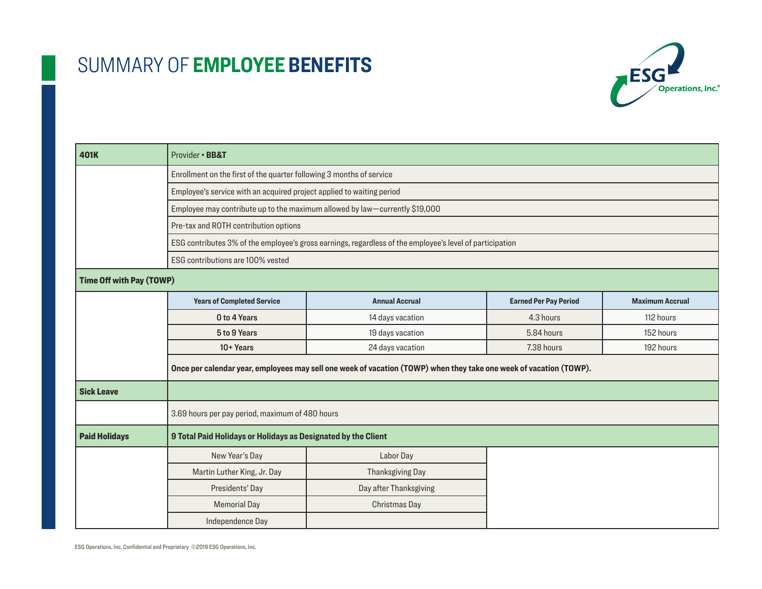

| 401K                            | Provider · BB&T                                                                                                                                                                                                                                                       |                        |                              |                        |  |  |
|---------------------------------|-----------------------------------------------------------------------------------------------------------------------------------------------------------------------------------------------------------------------------------------------------------------------|------------------------|------------------------------|------------------------|--|--|
|                                 | Enrollment on the first of the quarter following 3 months of service                                                                                                                                                                                                  |                        |                              |                        |  |  |
|                                 | Employee's service with an acquired project applied to waiting period                                                                                                                                                                                                 |                        |                              |                        |  |  |
|                                 | Employee may contribute up to the maximum allowed by law-currently \$19,000<br>Pre-tax and ROTH contribution options<br>ESG contributes 3% of the employee's gross earnings, regardless of the employee's level of participation<br>ESG contributions are 100% vested |                        |                              |                        |  |  |
|                                 |                                                                                                                                                                                                                                                                       |                        |                              |                        |  |  |
|                                 |                                                                                                                                                                                                                                                                       |                        |                              |                        |  |  |
|                                 |                                                                                                                                                                                                                                                                       |                        |                              |                        |  |  |
| <b>Time Off with Pay (TOWP)</b> |                                                                                                                                                                                                                                                                       |                        |                              |                        |  |  |
|                                 | <b>Years of Completed Service</b>                                                                                                                                                                                                                                     | <b>Annual Accrual</b>  | <b>Earned Per Pay Period</b> | <b>Maximum Accrual</b> |  |  |
|                                 | 0 to 4 Years                                                                                                                                                                                                                                                          | 14 days vacation       | 4.3 hours                    | 112 hours              |  |  |
|                                 | 5 to 9 Years                                                                                                                                                                                                                                                          | 19 days vacation       | 5.84 hours                   | 152 hours              |  |  |
|                                 | 10+ Years                                                                                                                                                                                                                                                             | 24 days vacation       | 7.38 hours                   | 192 hours              |  |  |
|                                 | Once per calendar year, employees may sell one week of vacation (TOWP) when they take one week of vacation (TOWP).                                                                                                                                                    |                        |                              |                        |  |  |
| <b>Sick Leave</b>               |                                                                                                                                                                                                                                                                       |                        |                              |                        |  |  |
|                                 | 3.69 hours per pay period, maximum of 480 hours                                                                                                                                                                                                                       |                        |                              |                        |  |  |
| <b>Paid Holidays</b>            | 9 Total Paid Holidays or Holidays as Designated by the Client                                                                                                                                                                                                         |                        |                              |                        |  |  |
|                                 | New Year's Day                                                                                                                                                                                                                                                        | Labor Day              |                              |                        |  |  |
|                                 | Martin Luther King, Jr. Day                                                                                                                                                                                                                                           | Thanksgiving Day       |                              |                        |  |  |
|                                 | Presidents' Day                                                                                                                                                                                                                                                       | Day after Thanksgiving |                              |                        |  |  |
|                                 | <b>Memorial Day</b>                                                                                                                                                                                                                                                   | Christmas Day          |                              |                        |  |  |
|                                 | Independence Day                                                                                                                                                                                                                                                      |                        |                              |                        |  |  |